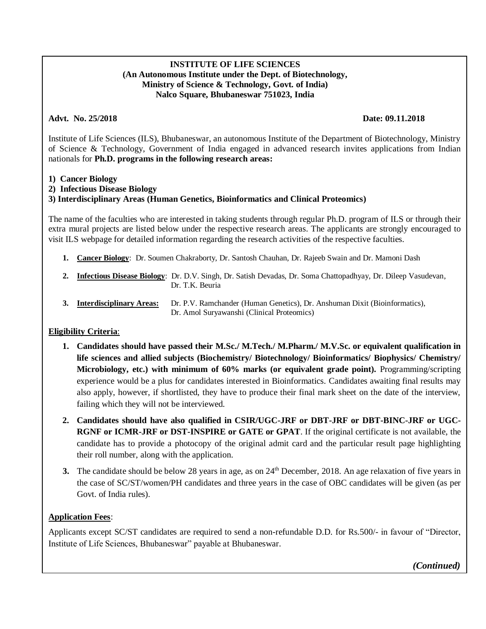## **INSTITUTE OF LIFE SCIENCES (An Autonomous Institute under the Dept. of Biotechnology, Ministry of Science & Technology, Govt. of India) Nalco Square, Bhubaneswar 751023, India**

## **Advt. No. 25/2018 Date: 09.11.2018**

Institute of Life Sciences (ILS), Bhubaneswar, an autonomous Institute of the Department of Biotechnology, Ministry of Science & Technology, Government of India engaged in advanced research invites applications from Indian nationals for **Ph.D. programs in the following research areas:**

**1) Cancer Biology**

## **2) Infectious Disease Biology**

# **3) Interdisciplinary Areas (Human Genetics, Bioinformatics and Clinical Proteomics)**

The name of the faculties who are interested in taking students through regular Ph.D. program of ILS or through their extra mural projects are listed below under the respective research areas. The applicants are strongly encouraged to visit ILS webpage for detailed information regarding the research activities of the respective faculties.

- **1. Cancer Biology**: Dr. Soumen Chakraborty, Dr. Santosh Chauhan, Dr. Rajeeb Swain and Dr. Mamoni Dash
- **2. Infectious Disease Biology**: Dr. D.V. Singh, Dr. Satish Devadas, Dr. Soma Chattopadhyay, Dr. Dileep Vasudevan, Dr. T.K. Beuria
- **3. Interdisciplinary Areas:** Dr. P.V. Ramchander (Human Genetics), Dr. Anshuman Dixit (Bioinformatics), Dr. Amol Suryawanshi (Clinical Proteomics)

# **Eligibility Criteria**:

- **1. Candidates should have passed their M.Sc./ M.Tech./ M.Pharm./ M.V.Sc. or equivalent qualification in life sciences and allied subjects (Biochemistry/ Biotechnology/ Bioinformatics/ Biophysics/ Chemistry/ Microbiology, etc.) with minimum of 60% marks (or equivalent grade point).** Programming/scripting experience would be a plus for candidates interested in Bioinformatics. Candidates awaiting final results may also apply, however, if shortlisted, they have to produce their final mark sheet on the date of the interview, failing which they will not be interviewed.
- **2. Candidates should have also qualified in CSIR/UGC-JRF or DBT-JRF or DBT-BINC-JRF or UGC-RGNF or ICMR-JRF or DST-INSPIRE or GATE or GPAT**. If the original certificate is not available, the candidate has to provide a photocopy of the original admit card and the particular result page highlighting their roll number, along with the application.
- **3.** The candidate should be below 28 years in age, as on 24<sup>th</sup> December, 2018. An age relaxation of five years in the case of SC/ST/women/PH candidates and three years in the case of OBC candidates will be given (as per Govt. of India rules).

# **Application Fees**:

Applicants except SC/ST candidates are required to send a non-refundable D.D. for Rs.500/- in favour of "Director, Institute of Life Sciences, Bhubaneswar" payable at Bhubaneswar.

 *(Continued)*